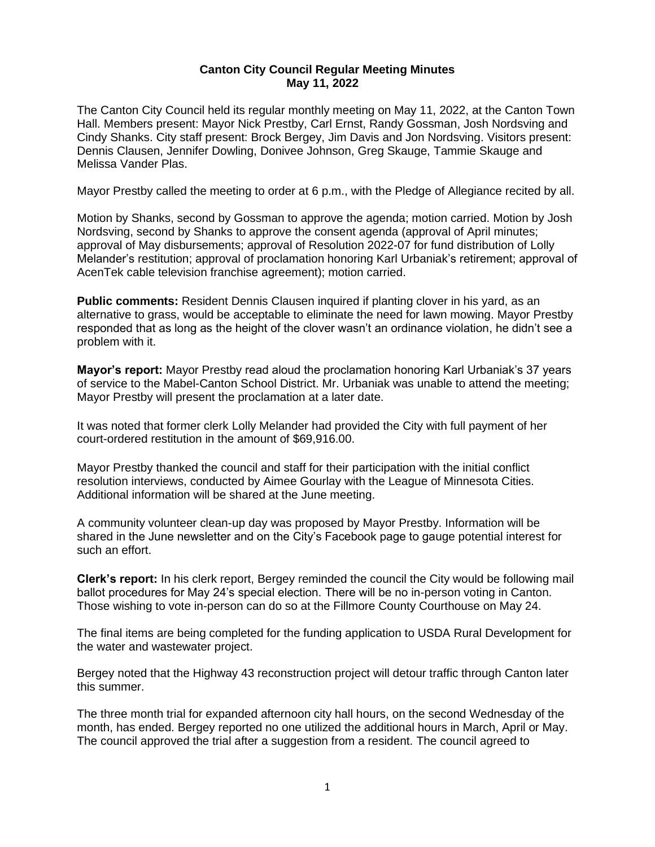## **Canton City Council Regular Meeting Minutes May 11, 2022**

The Canton City Council held its regular monthly meeting on May 11, 2022, at the Canton Town Hall. Members present: Mayor Nick Prestby, Carl Ernst, Randy Gossman, Josh Nordsving and Cindy Shanks. City staff present: Brock Bergey, Jim Davis and Jon Nordsving. Visitors present: Dennis Clausen, Jennifer Dowling, Donivee Johnson, Greg Skauge, Tammie Skauge and Melissa Vander Plas.

Mayor Prestby called the meeting to order at 6 p.m., with the Pledge of Allegiance recited by all.

Motion by Shanks, second by Gossman to approve the agenda; motion carried. Motion by Josh Nordsving, second by Shanks to approve the consent agenda (approval of April minutes; approval of May disbursements; approval of Resolution 2022-07 for fund distribution of Lolly Melander's restitution; approval of proclamation honoring Karl Urbaniak's retirement; approval of AcenTek cable television franchise agreement); motion carried.

**Public comments:** Resident Dennis Clausen inquired if planting clover in his yard, as an alternative to grass, would be acceptable to eliminate the need for lawn mowing. Mayor Prestby responded that as long as the height of the clover wasn't an ordinance violation, he didn't see a problem with it.

**Mayor's report:** Mayor Prestby read aloud the proclamation honoring Karl Urbaniak's 37 years of service to the Mabel-Canton School District. Mr. Urbaniak was unable to attend the meeting; Mayor Prestby will present the proclamation at a later date.

It was noted that former clerk Lolly Melander had provided the City with full payment of her court-ordered restitution in the amount of \$69,916.00.

Mayor Prestby thanked the council and staff for their participation with the initial conflict resolution interviews, conducted by Aimee Gourlay with the League of Minnesota Cities. Additional information will be shared at the June meeting.

A community volunteer clean-up day was proposed by Mayor Prestby. Information will be shared in the June newsletter and on the City's Facebook page to gauge potential interest for such an effort.

**Clerk's report:** In his clerk report, Bergey reminded the council the City would be following mail ballot procedures for May 24's special election. There will be no in-person voting in Canton. Those wishing to vote in-person can do so at the Fillmore County Courthouse on May 24.

The final items are being completed for the funding application to USDA Rural Development for the water and wastewater project.

Bergey noted that the Highway 43 reconstruction project will detour traffic through Canton later this summer.

The three month trial for expanded afternoon city hall hours, on the second Wednesday of the month, has ended. Bergey reported no one utilized the additional hours in March, April or May. The council approved the trial after a suggestion from a resident. The council agreed to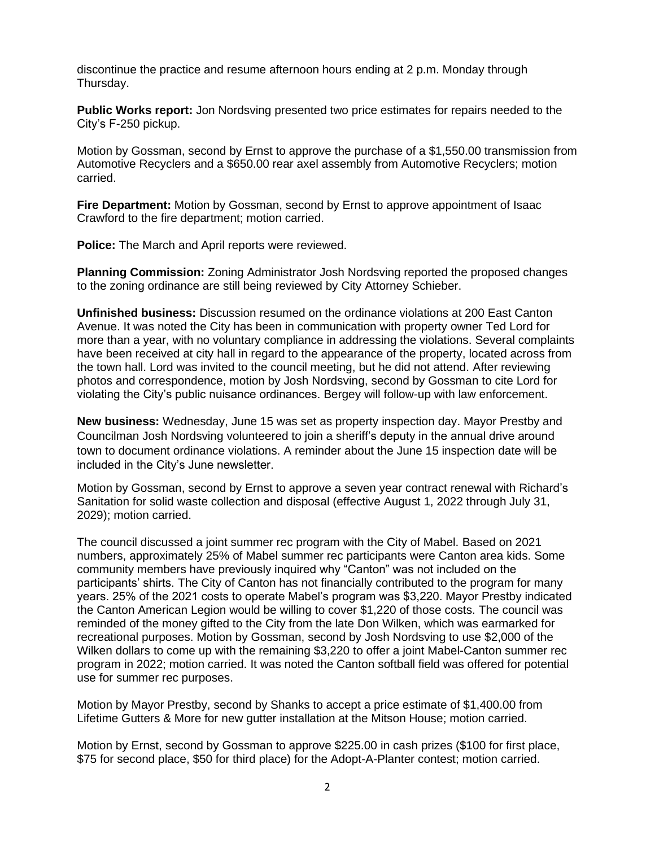discontinue the practice and resume afternoon hours ending at 2 p.m. Monday through Thursday.

**Public Works report:** Jon Nordsving presented two price estimates for repairs needed to the City's F-250 pickup.

Motion by Gossman, second by Ernst to approve the purchase of a \$1,550.00 transmission from Automotive Recyclers and a \$650.00 rear axel assembly from Automotive Recyclers; motion carried.

**Fire Department:** Motion by Gossman, second by Ernst to approve appointment of Isaac Crawford to the fire department; motion carried.

**Police:** The March and April reports were reviewed.

**Planning Commission:** Zoning Administrator Josh Nordsving reported the proposed changes to the zoning ordinance are still being reviewed by City Attorney Schieber.

**Unfinished business:** Discussion resumed on the ordinance violations at 200 East Canton Avenue. It was noted the City has been in communication with property owner Ted Lord for more than a year, with no voluntary compliance in addressing the violations. Several complaints have been received at city hall in regard to the appearance of the property, located across from the town hall. Lord was invited to the council meeting, but he did not attend. After reviewing photos and correspondence, motion by Josh Nordsving, second by Gossman to cite Lord for violating the City's public nuisance ordinances. Bergey will follow-up with law enforcement.

**New business:** Wednesday, June 15 was set as property inspection day. Mayor Prestby and Councilman Josh Nordsving volunteered to join a sheriff's deputy in the annual drive around town to document ordinance violations. A reminder about the June 15 inspection date will be included in the City's June newsletter.

Motion by Gossman, second by Ernst to approve a seven year contract renewal with Richard's Sanitation for solid waste collection and disposal (effective August 1, 2022 through July 31, 2029); motion carried.

The council discussed a joint summer rec program with the City of Mabel. Based on 2021 numbers, approximately 25% of Mabel summer rec participants were Canton area kids. Some community members have previously inquired why "Canton" was not included on the participants' shirts. The City of Canton has not financially contributed to the program for many years. 25% of the 2021 costs to operate Mabel's program was \$3,220. Mayor Prestby indicated the Canton American Legion would be willing to cover \$1,220 of those costs. The council was reminded of the money gifted to the City from the late Don Wilken, which was earmarked for recreational purposes. Motion by Gossman, second by Josh Nordsving to use \$2,000 of the Wilken dollars to come up with the remaining \$3,220 to offer a joint Mabel-Canton summer rec program in 2022; motion carried. It was noted the Canton softball field was offered for potential use for summer rec purposes.

Motion by Mayor Prestby, second by Shanks to accept a price estimate of \$1,400.00 from Lifetime Gutters & More for new gutter installation at the Mitson House; motion carried.

Motion by Ernst, second by Gossman to approve \$225.00 in cash prizes (\$100 for first place, \$75 for second place, \$50 for third place) for the Adopt-A-Planter contest; motion carried.